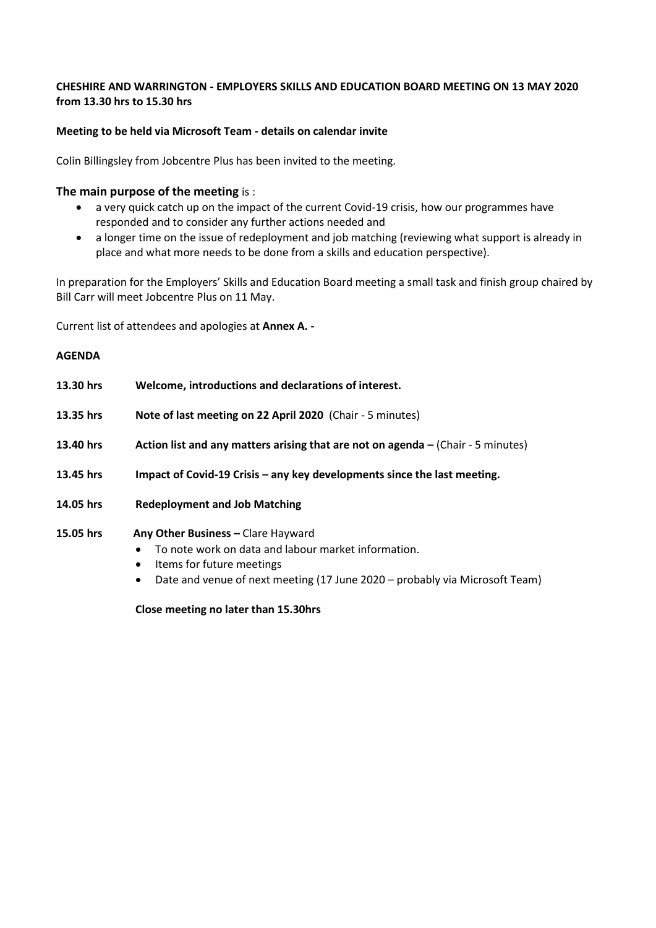# **CHESHIRE AND WARRINGTON - EMPLOYERS SKILLS AND EDUCATION BOARD MEETING ON 13 MAY 2020 from 13.30 hrs to 15.30 hrs**

# **Meeting to be held via Microsoft Team - details on calendar invite**

Colin Billingsley from Jobcentre Plus has been invited to the meeting.

# **The main purpose of the meeting** is :

- a very quick catch up on the impact of the current Covid-19 crisis, how our programmes have responded and to consider any further actions needed and
- a longer time on the issue of redeployment and job matching (reviewing what support is already in place and what more needs to be done from a skills and education perspective).

In preparation for the Employers' Skills and Education Board meeting a small task and finish group chaired by Bill Carr will meet Jobcentre Plus on 11 May.

Current list of attendees and apologies at **Annex A. -**

### **AGENDA**

| 13.30 hrs | Welcome, introductions and declarations of interest.                                                                                |
|-----------|-------------------------------------------------------------------------------------------------------------------------------------|
| 13.35 hrs | Note of last meeting on 22 April 2020 (Chair - 5 minutes)                                                                           |
| 13.40 hrs | Action list and any matters arising that are not on agenda – (Chair - 5 minutes)                                                    |
| 13.45 hrs | Impact of Covid-19 Crisis - any key developments since the last meeting.                                                            |
| 14.05 hrs | <b>Redeployment and Job Matching</b>                                                                                                |
| 15.05 hrs | Any Other Business - Clare Hayward<br>To note work on data and labour market information.<br>Items for future meetings<br>$\bullet$ |

• Date and venue of next meeting (17 June 2020 – probably via Microsoft Team)

**Close meeting no later than 15.30hrs**